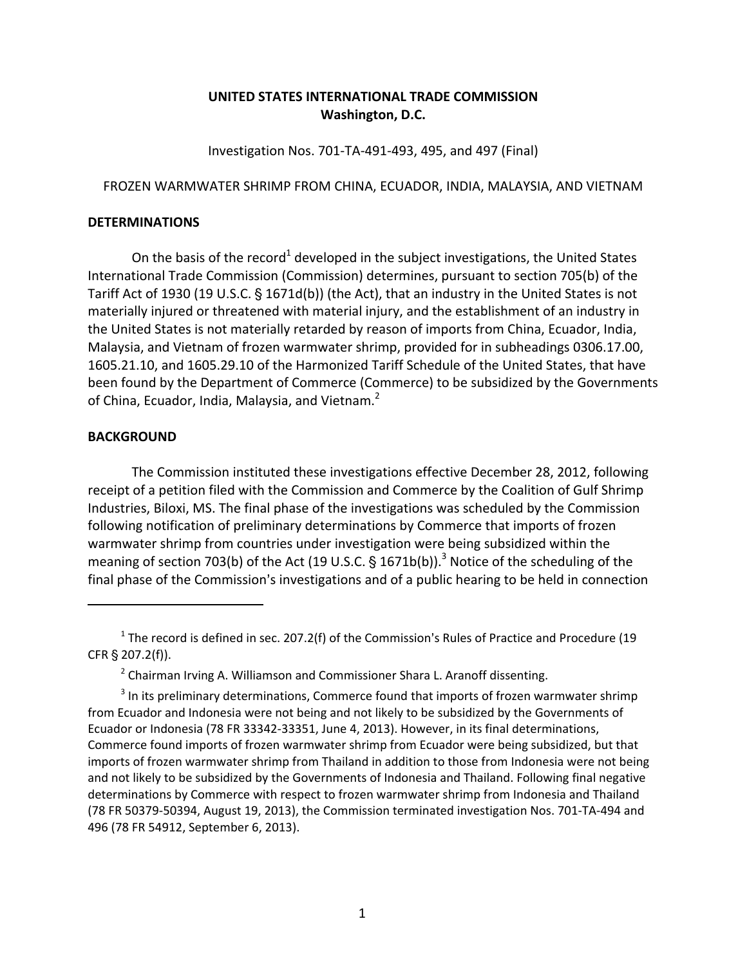## **UNITED STATES INTERNATIONAL TRADE COMMISSION Washington, D.C.**

Investigation Nos. 701‐TA‐491‐493, 495, and 497 (Final)

## FROZEN WARMWATER SHRIMP FROM CHINA, ECUADOR, INDIA, MALAYSIA, AND VIETNAM

## **DETERMINATIONS**

On the basis of the record<sup>1</sup> developed in the subject investigations, the United States International Trade Commission (Commission) determines, pursuant to section 705(b) of the Tariff Act of 1930 (19 U.S.C.  $\S$  1671d(b)) (the Act), that an industry in the United States is not materially injured or threatened with material injury, and the establishment of an industry in the United States is not materially retarded by reason of imports from China, Ecuador, India, Malaysia, and Vietnam of frozen warmwater shrimp, provided for in subheadings 0306.17.00, 1605.21.10, and 1605.29.10 of the Harmonized Tariff Schedule of the United States, that have been found by the Department of Commerce (Commerce) to be subsidized by the Governments of China, Ecuador, India, Malaysia, and Vietnam.<sup>2</sup>

## **BACKGROUND**

The Commission instituted these investigations effective December 28, 2012, following receipt of a petition filed with the Commission and Commerce by the Coalition of Gulf Shrimp Industries, Biloxi, MS. The final phase of the investigations was scheduled by the Commission following notification of preliminary determinations by Commerce that imports of frozen warmwater shrimp from countries under investigation were being subsidized within the meaning of section 703(b) of the Act (19 U.S.C.  $\S$  1671b(b)).<sup>3</sup> Notice of the scheduling of the final phase of the Commission's investigations and of a public hearing to be held in connection

 $1$  The record is defined in sec. 207.2(f) of the Commission's Rules of Practice and Procedure (19 CFR § 207.2(f)).

<sup>&</sup>lt;sup>2</sup> Chairman Irving A. Williamson and Commissioner Shara L. Aranoff dissenting.

<sup>&</sup>lt;sup>3</sup> In its preliminary determinations, Commerce found that imports of frozen warmwater shrimp from Ecuador and Indonesia were not being and not likely to be subsidized by the Governments of Ecuador or Indonesia (78 FR 33342‐33351, June 4, 2013). However, in its final determinations, Commerce found imports of frozen warmwater shrimp from Ecuador were being subsidized, but that imports of frozen warmwater shrimp from Thailand in addition to those from Indonesia were not being and not likely to be subsidized by the Governments of Indonesia and Thailand. Following final negative determinations by Commerce with respect to frozen warmwater shrimp from Indonesia and Thailand (78 FR 50379‐50394, August 19, 2013), the Commission terminated investigation Nos. 701‐TA‐494 and 496 (78 FR 54912, September 6, 2013).